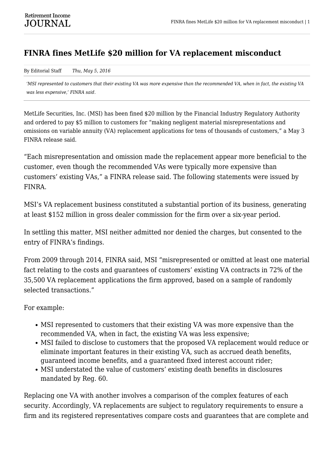## **FINRA fines MetLife \$20 million for VA replacement misconduct**

By Editorial Staff *Thu, May 5, 2016*

*'MSI represented to customers that their existing VA was more expensive than the recommended VA, when in fact, the existing VA was less expensive,' FINRA said.*

MetLife Securities, Inc. (MSI) has been fined \$20 million by the Financial Industry Regulatory Authority and ordered to pay \$5 million to customers for "making negligent material misrepresentations and omissions on variable annuity (VA) replacement applications for tens of thousands of customers," a May 3 FINRA release said.

"Each misrepresentation and omission made the replacement appear more beneficial to the customer, even though the recommended VAs were typically more expensive than customers' existing VAs," a FINRA release said. The following statements were issued by FINRA.

MSI's VA replacement business constituted a substantial portion of its business, generating at least \$152 million in gross dealer commission for the firm over a six-year period.

In settling this matter, MSI neither admitted nor denied the charges, but consented to the entry of FINRA's findings.

From 2009 through 2014, FINRA said, MSI "misrepresented or omitted at least one material fact relating to the costs and guarantees of customers' existing VA contracts in 72% of the 35,500 VA replacement applications the firm approved, based on a sample of randomly selected transactions."

For example:

- MSI represented to customers that their existing VA was more expensive than the recommended VA, when in fact, the existing VA was less expensive;
- MSI failed to disclose to customers that the proposed VA replacement would reduce or eliminate important features in their existing VA, such as accrued death benefits, guaranteed income benefits, and a guaranteed fixed interest account rider;
- MSI understated the value of customers' existing death benefits in disclosures mandated by Reg. 60.

Replacing one VA with another involves a comparison of the complex features of each security. Accordingly, VA replacements are subject to regulatory requirements to ensure a firm and its registered representatives compare costs and guarantees that are complete and